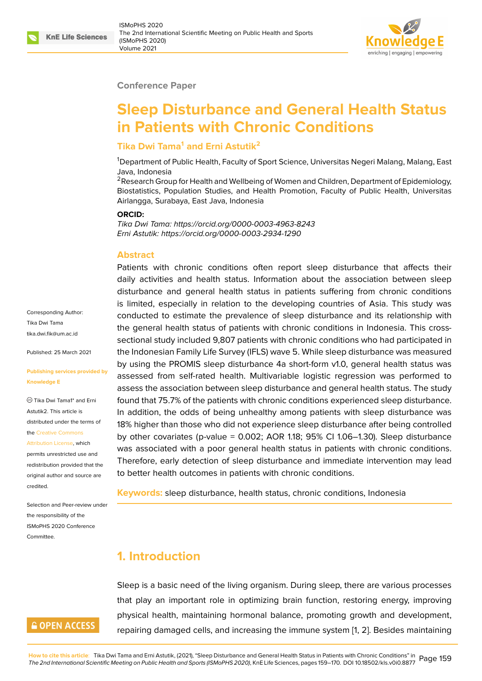

#### **Conference Paper**

# **Sleep Disturbance and General Health Status in Patients with Chronic Conditions**

#### **Tika Dwi Tama<sup>1</sup> and Erni Astutik<sup>2</sup>**

<sup>1</sup>Department of Public Health, Faculty of Sport Science, Universitas Negeri Malang, Malang, East Java, Indonesia

<sup>2</sup> Research Group for Health and Wellbeing of Women and Children, Department of Epidemiology, Biostatistics, Population Studies, and Health Promotion, Faculty of Public Health, Universitas Airlangga, Surabaya, East Java, Indonesia

#### **ORCID:**

*Tika Dwi Tama: https://orcid.org/0000-0003-4963-8243 Erni Astutik: https://orcid.org/0000-0003-2934-1290*

#### **Abstract**

Patients with chronic conditions often report sleep disturbance that affects their daily activities and health status. Information about the association between sleep disturbance and general health status in patients suffering from chronic conditions is limited, especially in relation to the developing countries of Asia. This study was conducted to estimate the prevalence of sleep disturbance and its relationship with the general health status of patients with chronic conditions in Indonesia. This crosssectional study included 9,807 patients with chronic conditions who had participated in the Indonesian Family Life Survey (IFLS) wave 5. While sleep disturbance was measured by using the PROMIS sleep disturbance 4a short-form v1.0, general health status was assessed from self-rated health. Multivariable logistic regression was performed to assess the association between sleep disturbance and general health status. The study found that 75.7% of the patients with chronic conditions experienced sleep disturbance. In addition, the odds of being unhealthy among patients with sleep disturbance was 18% higher than those who did not experience sleep disturbance after being controlled by other covariates (p-value = 0.002; AOR 1.18; 95% CI 1.06–1.30). Sleep disturbance was associated with a poor general health status in patients with chronic conditions. Therefore, early detection of sleep disturbance and immediate intervention may lead to better health outcomes in patients with chronic conditions.

**Keywords:** sleep disturbance, health status, chronic conditions, Indonesia

# **1. Introduction**

Sleep is a basic need of the living organism. During sleep, there are various processes that play an important role in optimizing brain function, restoring energy, improving physical health, maintaining hormonal balance, promoting growth and development, repairing damaged cells, and increasing the immune system [1, 2]. Besides maintaining

Corresponding Author: Tika Dwi Tama tika.dwi.fik@um.ac.id

Published: 25 March 2021

#### **[Publishing services p](mailto:tika.dwi.fik@um.ac.id)rovided by Knowledge E**

Tika Dwi Tama1\* and Erni Astutik2. This article is distributed under the terms of the Creative Commons

Attribution License, which

permits unrestricted use and redistribution provided that the orig[inal author and sou](https://creativecommons.org/licenses/by/4.0/)rce are [credited.](https://creativecommons.org/licenses/by/4.0/)

Selection and Peer-review under the responsibility of the ISMoPHS 2020 Conference **Committee** 

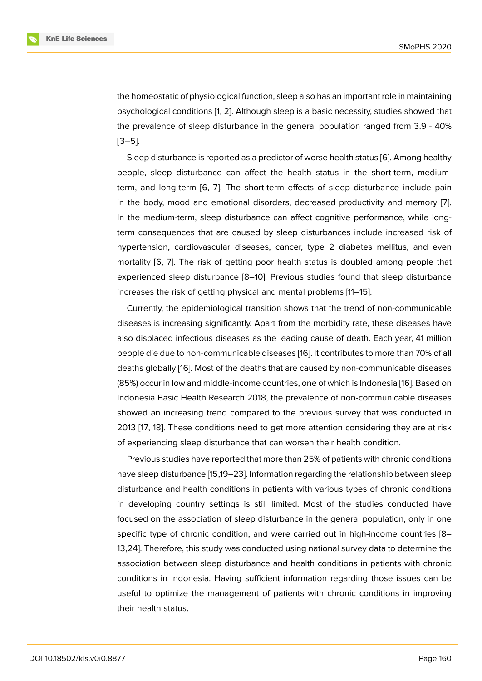the homeostatic of physiological function, sleep also has an important role in maintaining psychological conditions [1, 2]. Although sleep is a basic necessity, studies showed that the prevalence of sleep disturbance in the general population ranged from 3.9 - 40% [3–5].

Sleep disturbance is re[po](#page-8-0)[rt](#page-8-1)ed as a predictor of worse health status [6]. Among healthy people, sleep disturbance can affect the health status in the short-term, mediumterm, and long-term [6, 7]. The short-term effects of sleep disturbance include pain in the body, mood and emotional disorders, decreased productivit[y](#page-9-0) and memory [7]. In the medium-term, sleep disturbance can affect cognitive performance, while longterm consequences t[ha](#page-9-0)t [a](#page-9-1)re caused by sleep disturbances include increased risk of hypertension, cardiovascular diseases, cancer, type 2 diabetes mellitus, and ev[en](#page-9-1) mortality [6, 7]. The risk of getting poor health status is doubled among people that experienced sleep disturbance [8–10]. Previous studies found that sleep disturbance increases the risk of getting physical and mental problems [11–15].

Current[ly,](#page-9-0) [th](#page-9-1)e epidemiological transition shows that the trend of non-communicable diseases is increasing significantly. Apart from the morbidity rate, these diseases have also displaced infectious diseases as the leading cause of death. Each year, 41 million people die due to non-communicable diseases [16]. It contributes to more than 70% of all deaths globally [16]. Most of the deaths that are caused by non-communicable diseases (85%) occur in low and middle-income countries, one of which is Indonesia [16]. Based on Indonesia Basic Health Research 2018, the pre[val](#page-9-2)ence of non-communicable diseases showed an incr[eas](#page-9-2)ing trend compared to the previous survey that was conducted in 2013 [17, 18]. These conditions need to get more attention considering th[ey](#page-9-2) are at risk of experiencing sleep disturbance that can worsen their health condition.

Previous studies have reported that more than 25% of patients with chronic conditions have [sle](#page-10-0)[ep d](#page-10-1)isturbance [15,19–23]. Information regarding the relationship between sleep disturbance and health conditions in patients with various types of chronic conditions in developing country settings is still limited. Most of the studies conducted have focused on the association of sleep disturbance in the general population, only in one specific type of chronic condition, and were carried out in high-income countries [8– 13,24]. Therefore, this study was conducted using national survey data to determine the association between sleep disturbance and health conditions in patients with chronic conditions in Indonesia. Having sufficient information regarding those issues can be useful to optimize the management of patients with chronic conditions in improving their health status.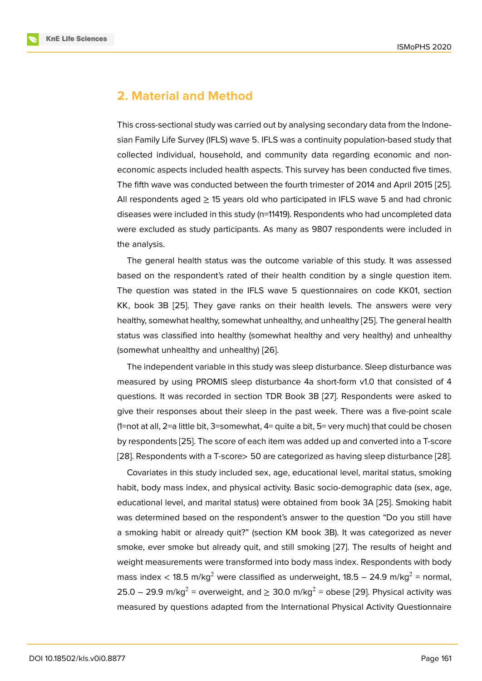### **2. Material and Method**

This cross-sectional study was carried out by analysing secondary data from the Indonesian Family Life Survey (IFLS) wave 5. IFLS was a continuity population-based study that collected individual, household, and community data regarding economic and noneconomic aspects included health aspects. This survey has been conducted five times. The fifth wave was conducted between the fourth trimester of 2014 and April 2015 [25]. All respondents aged  $\geq$  15 years old who participated in IFLS wave 5 and had chronic diseases were included in this study (n=11419). Respondents who had uncompleted data were excluded as study participants. As many as 9807 respondents were include[d in](#page-10-2) the analysis.

The general health status was the outcome variable of this study. It was assessed based on the respondent's rated of their health condition by a single question item. The question was stated in the IFLS wave 5 questionnaires on code KK01, section KK, book 3B [25]. They gave ranks on their health levels. The answers were very healthy, somewhat healthy, somewhat unhealthy, and unhealthy [25]. The general health status was classified into healthy (somewhat healthy and very healthy) and unhealthy (somewhat un[hea](#page-10-2)lthy and unhealthy) [26].

The independent variable in this study was sleep disturbance. [Sle](#page-10-2)ep disturbance was measured by using PROMIS sleep disturbance 4a short-form v1.0 that consisted of 4 questions. It was recorded in section [TD](#page-10-3)R Book 3B [27]. Respondents were asked to give their responses about their sleep in the past week. There was a five-point scale (1=not at all, 2=a little bit, 3=somewhat, 4= quite a bit, 5= very much) that could be chosen by respondents [25]. The score of each item was adde[d u](#page-10-4)p and converted into a T-score [28]. Respondents with a T-score> 50 are categorized as having sleep disturbance [28].

Covariates in this study included sex, age, educational level, marital status, smoking habit, body mas[s in](#page-10-2)dex, and physical activity. Basic socio-demographic data (sex, age, [edu](#page-10-5)cational level, and marital status) were obtained from book 3A [25]. Smoking [habi](#page-10-5)t was determined based on the respondent's answer to the question "Do you still have a smoking habit or already quit?" (section KM book 3B). It was categorized as never smoke, ever smoke but already quit, and still smoking [27]. The re[sul](#page-10-2)ts of height and weight measurements were transformed into body mass index. Respondents with body mass index  $<$  18.5 m/kg $^2$  were classified as underweight, 18.5 – 24.9 m/kg $^2$  = normal, 25.0 – 29.9 m/kg $^2$  = overweight, and  $\geq$  30.0 m/kg $^2$  = o[bese](#page-10-4) [29]. Physical activity was measured by questions adapted from the International Physical Activity Questionnaire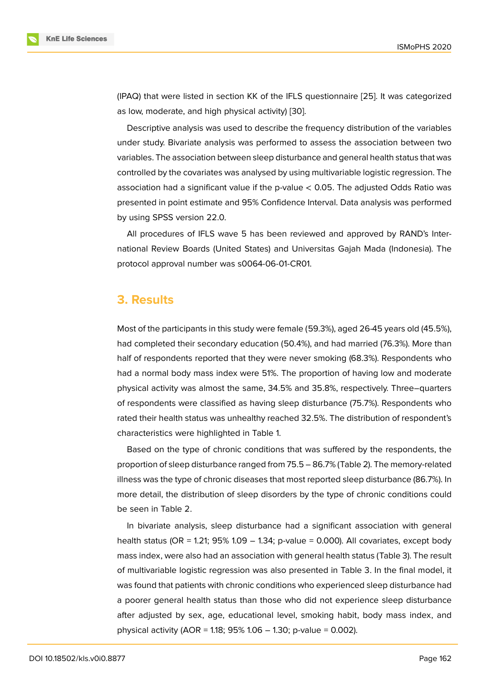(IPAQ) that were listed in section KK of the IFLS questionnaire [25]. It was categorized as low, moderate, and high physical activity) [30].

Descriptive analysis was used to describe the frequency distribution of the variables under study. Bivariate analysis was performed to assess the a[ssoc](#page-10-2)iation between two variables. The association between sleep dist[urb](#page-10-6)ance and general health status that was controlled by the covariates was analysed by using multivariable logistic regression. The association had a significant value if the p-value  $<$  0.05. The adjusted Odds Ratio was presented in point estimate and 95% Confidence Interval. Data analysis was performed by using SPSS version 22.0.

All procedures of IFLS wave 5 has been reviewed and approved by RAND's International Review Boards (United States) and Universitas Gajah Mada (Indonesia). The protocol approval number was s0064-06-01-CR01.

### **3. Results**

Most of the participants in this study were female (59.3%), aged 26-45 years old (45.5%), had completed their secondary education (50.4%), and had married (76.3%). More than half of respondents reported that they were never smoking (68.3%). Respondents who had a normal body mass index were 51%. The proportion of having low and moderate physical activity was almost the same, 34.5% and 35.8%, respectively. Three–quarters of respondents were classified as having sleep disturbance (75.7%). Respondents who rated their health status was unhealthy reached 32.5%. The distribution of respondent's characteristics were highlighted in Table 1.

Based on the type of chronic conditions that was suffered by the respondents, the proportion of sleep disturbance ranged from 75.5 – 86.7% (Table 2). The memory-related illness was the type of chronic diseases that most reported sleep disturbance (86.7%). In more detail, the distribution of sleep disorders by the type of chronic conditions could be seen in Table 2.

In bivariate analysis, sleep disturbance had a significant association with general health status (OR = 1.21;  $95\%$  1.09 – 1.34; p-value = 0.000). All covariates, except body mass index, were also had an association with general health status (Table 3). The result of multivariable logistic regression was also presented in Table 3. In the final model, it was found that patients with chronic conditions who experienced sleep disturbance had a poorer general health status than those who did not experience sleep disturbance after adjusted by sex, age, educational level, smoking habit, body mass index, and physical activity (AOR = 1.18;  $95\%$  1.06 - 1.30; p-value = 0.002).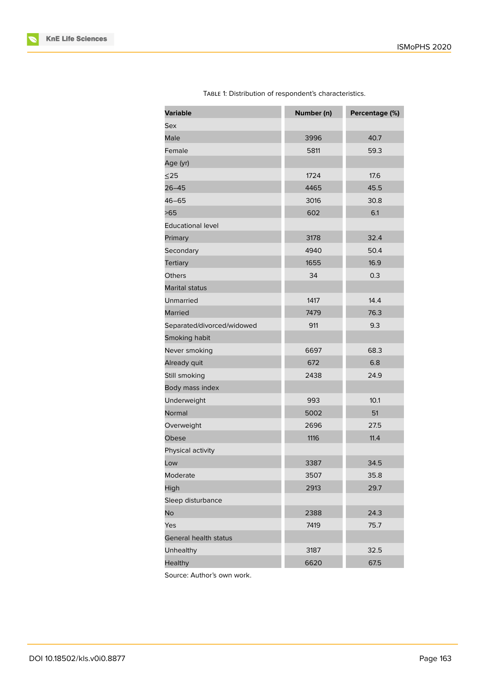| <b>Variable</b>            | Number (n)   | Percentage (%) |  |
|----------------------------|--------------|----------------|--|
| Sex                        |              |                |  |
| Male                       | 3996         | 40.7           |  |
| Female                     | 5811         | 59.3           |  |
| Age (yr)                   |              |                |  |
| $\leq$ 25                  | 1724         | 17.6           |  |
| $26 - 45$                  | 4465         | 45.5           |  |
| $46 - 65$                  | 3016<br>30.8 |                |  |
| >65                        | 602          | 6.1            |  |
| <b>Educational level</b>   |              |                |  |
| Primary                    | 3178         | 32.4           |  |
| Secondary                  | 4940         | 50.4           |  |
| <b>Tertiary</b>            | 1655         | 16.9           |  |
| <b>Others</b>              | 34           | 0.3            |  |
| Marital status             |              |                |  |
| Unmarried                  | 1417         | 14.4           |  |
| Married                    | 7479         | 76.3           |  |
| Separated/divorced/widowed | 911          | 9.3            |  |
| Smoking habit              |              |                |  |
| Never smoking              | 6697         | 68.3           |  |
| Already quit               | 672          | 6.8            |  |
| Still smoking              | 24.9<br>2438 |                |  |
| Body mass index            |              |                |  |
| Underweight                | 993          | 10.1           |  |
| Normal                     | 5002         | 51             |  |
| Overweight                 | 2696         | 27.5           |  |
| Obese                      | 1116         | 11.4           |  |
| Physical activity          |              |                |  |
| Low                        | 3387         | 34.5           |  |
| Moderate                   | 3507<br>35.8 |                |  |
| High                       | 2913<br>29.7 |                |  |
| Sleep disturbance          |              |                |  |
| No                         | 24.3<br>2388 |                |  |
| Yes                        | 7419         | 75.7           |  |
| General health status      |              |                |  |
| Unhealthy                  | 3187         | 32.5           |  |
| Healthy                    | 6620         | 67.5           |  |

TABLE 1: Distribution of respondent's characteristics.

Source: Author's own work.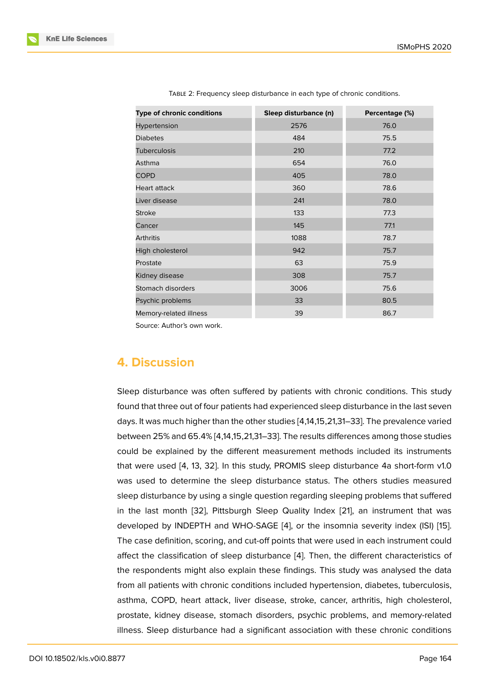| Type of chronic conditions | Sleep disturbance (n) | Percentage (%) |
|----------------------------|-----------------------|----------------|
| Hypertension               | 2576                  | 76.0           |
| <b>Diabetes</b>            | 484                   | 75.5           |
| <b>Tuberculosis</b>        | 210                   | 77.2           |
| Asthma                     | 654                   | 76.0           |
| <b>COPD</b>                | 405                   | 78.0           |
| Heart attack               | 360                   | 78.6           |
| Liver disease              | 241                   | 78.0           |
| <b>Stroke</b>              | 133                   | 77.3           |
| Cancer                     | 145                   | 77.1           |
| <b>Arthritis</b>           | 1088                  | 78.7           |
| High cholesterol           | 942                   | 75.7           |
| Prostate                   | 63                    | 75.9           |
| Kidney disease             | 308                   | 75.7           |
| Stomach disorders          | 3006                  | 75.6           |
| Psychic problems           | 33                    | 80.5           |
| Memory-related illness     | 39                    | 86.7           |
|                            |                       |                |

TABLE 2: Frequency sleep disturbance in each type of chronic conditions.

Source: Author's own work.

### **4. Discussion**

Sleep disturbance was often suffered by patients with chronic conditions. This study found that three out of four patients had experienced sleep disturbance in the last seven days. It was much higher than the other studies [4,14,15,21,31–33]. The prevalence varied between 25% and 65.4% [4,14,15,21,31–33]. The results differences among those studies could be explained by the different measurement methods included its instruments that were used [4, 13, 32]. In this study, PROMIS sleep disturbance 4a short-form v1.0 was used to determine the sleep disturbance status. The others studies measured sleep disturbance by using a single question regarding sleeping problems that suffered in the last mon[th](#page-9-3) [\[32](#page-9-4)[\], P](#page-11-0)ittsburgh Sleep Quality Index [21], an instrument that was developed by INDEPTH and WHO-SAGE [4], or the insomnia severity index (ISI) [15]. The case definition, scoring, and cut-off points that were used in each instrument could affect the classifica[tion](#page-11-0) of sleep disturbance [4]. Then, t[he d](#page-10-7)ifferent characteristics of the respondents might also explain these [fin](#page-9-3)dings. This study was analysed the [data](#page-9-5) from all patients with chronic conditions included hypertension, diabetes, tuberculosis, asthma, COPD, heart attack, liver disease, s[tro](#page-9-3)ke, cancer, arthritis, high cholesterol, prostate, kidney disease, stomach disorders, psychic problems, and memory-related illness. Sleep disturbance had a significant association with these chronic conditions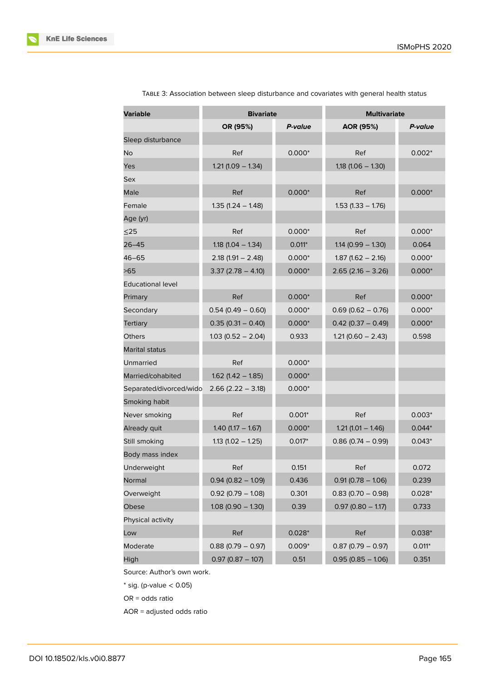| <b>Variable</b>          | <b>Bivariate</b>     |          | <b>Multivariate</b>  |          |
|--------------------------|----------------------|----------|----------------------|----------|
|                          | OR (95%)             | P-value  | AOR (95%)            | P-value  |
| Sleep disturbance        |                      |          |                      |          |
| No                       | Ref                  | $0.000*$ | Ref                  | $0.002*$ |
| Yes                      | $1.21(1.09 - 1.34)$  |          | $1,18$ (1.06 - 1.30) |          |
| Sex                      |                      |          |                      |          |
| Male                     | Ref                  | $0.000*$ | Ref                  | $0.000*$ |
| Female                   | $1.35(1.24 - 1.48)$  |          | $1.53$ (1.33 - 1.76) |          |
| Age (yr)                 |                      |          |                      |          |
| $\leq$ 25                | Ref                  | $0.000*$ | Ref                  | $0.000*$ |
| 26–45                    | $1.18$ (1.04 - 1.34) | $0.011*$ | $1.14(0.99 - 1.30)$  | 0.064    |
| 46–65                    | $2.18(1.91 - 2.48)$  | $0.000*$ | $1.87(1.62 - 2.16)$  | $0.000*$ |
| >65                      | $3.37(2.78 - 4.10)$  | $0.000*$ | $2.65(2.16 - 3.26)$  | $0.000*$ |
| <b>Educational level</b> |                      |          |                      |          |
| Primary                  | Ref                  | $0.000*$ | Ref                  | $0.000*$ |
| Secondary                | $0.54(0.49 - 0.60)$  | $0.000*$ | $0.69(0.62 - 0.76)$  | $0.000*$ |
| Tertiary                 | $0.35(0.31 - 0.40)$  | $0.000*$ | $0.42$ (0.37 - 0.49) | $0.000*$ |
| <b>Others</b>            | $1.03(0.52 - 2.04)$  | 0.933    | $1.21(0.60 - 2.43)$  | 0.598    |
| Marital status           |                      |          |                      |          |
| Unmarried                | Ref                  | $0.000*$ |                      |          |
| Married/cohabited        | $1.62$ (1.42 - 1.85) | $0.000*$ |                      |          |
| Separated/divorced/wido  | $2.66$ (2.22 - 3.18) | $0.000*$ |                      |          |
| Smoking habit            |                      |          |                      |          |
| Never smoking            | Ref                  | $0.001*$ | Ref                  | $0.003*$ |
| Already quit             | $1.40$ (1.17 - 1.67) | $0.000*$ | $1.21(1.01 - 1.46)$  | $0.044*$ |
| Still smoking            | $1.13$ (1.02 - 1.25) | $0.017*$ | $0.86$ (0.74 - 0.99) | $0.043*$ |
| Body mass index          |                      |          |                      |          |
| <b>Underweight</b>       | Ref                  | 0.151    | Ref                  | 0.072    |
| Normal                   | $0.94(0.82 - 1.09)$  | 0.436    | $0.91(0.78 - 1.06)$  | 0.239    |
| Overweight               | $0.92$ (0.79 - 1.08) | 0.301    | $0.83(0.70 - 0.98)$  | $0.028*$ |
| Obese                    | $1.08(0.90 - 1.30)$  | 0.39     | $0.97(0.80 - 1.17)$  | 0.733    |
| Physical activity        |                      |          |                      |          |
| Low                      | Ref                  | $0.028*$ | Ref                  | $0.038*$ |
| Moderate                 | $0.88(0.79 - 0.97)$  | $0.009*$ | $0.87(0.79 - 0.97)$  | $0.011*$ |
| High                     | $0.97(0.87 - 107)$   | 0.51     | $0.95(0.85 - 1.06)$  | 0.351    |

TABLE 3: Association between sleep disturbance and covariates with general health status

Source: Author's own work.

 $*$  sig. (p-value  $< 0.05$ )

OR = odds ratio

AOR = adjusted odds ratio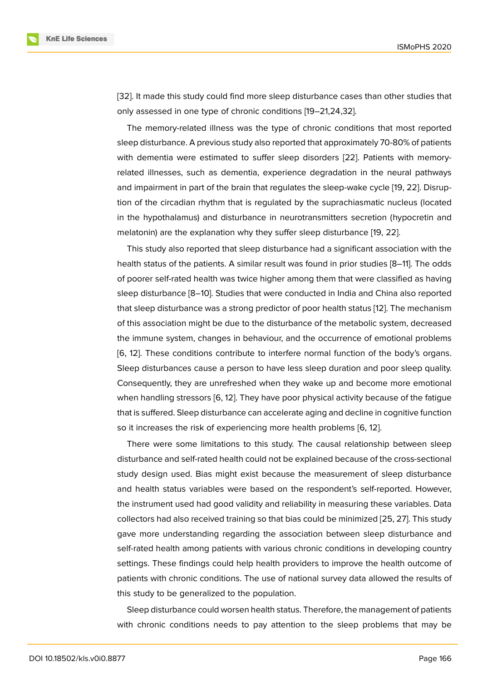[32]. It made this study could find more sleep disturbance cases than other studies that only assessed in one type of chronic conditions [19–21,24,32].

The memory-related illness was the type of chronic conditions that most reported [slee](#page-11-0)p disturbance. A previous study also reported that approximately 70-80% of patients with dementia were estimated to suffer sleep disorders [22]. Patients with memoryrelated illnesses, such as dementia, experience degradation in the neural pathways and impairment in part of the brain that regulates the sleep-wake cycle [19, 22]. Disruption of the circadian rhythm that is regulated by the supra[chia](#page-10-8)smatic nucleus (located in the hypothalamus) and disturbance in neurotransmitters secretion (hypocretin and melatonin) are the explanation why they suffer sleep disturbance [19, 2[2\].](#page-10-9)

This study also reported that sleep disturbance had a significant association with the health status of the patients. A similar result was found in prior studies [8–11]. The odds of poorer self-rated health was twice higher among them that wer[e c](#page-10-9)l[assi](#page-10-8)fied as having sleep disturbance [8–10]. Studies that were conducted in India and China also reported that sleep disturbance was a strong predictor of poor health status [12]. The mechanism of this association might be due to the disturbance of the metabolic system, decreased the immune system, changes in behaviour, and the occurrence of emotional problems [6, 12]. These conditions contribute to interfere normal function o[f th](#page-9-6)e body's organs. Sleep disturbances cause a person to have less sleep duration and poor sleep quality. Consequently, they are unrefreshed when they wake up and become more emotional [wh](#page-9-0)[en](#page-9-6) handling stressors [6, 12]. They have poor physical activity because of the fatigue that is suffered. Sleep disturbance can accelerate aging and decline in cognitive function so it increases the risk of experiencing more health problems [6, 12].

There were some limi[ta](#page-9-0)t[ion](#page-9-6)s to this study. The causal relationship between sleep disturbance and self-rated health could not be explained because of the cross-sectional study design used. Bias might exist because the measureme[nt](#page-9-0) [of](#page-9-6) sleep disturbance and health status variables were based on the respondent's self-reported. However, the instrument used had good validity and reliability in measuring these variables. Data collectors had also received training so that bias could be minimized [25, 27]. This study gave more understanding regarding the association between sleep disturbance and self-rated health among patients with various chronic conditions in developing country settings. These findings could help health providers to improve the [hea](#page-10-2)[lth](#page-10-4) outcome of patients with chronic conditions. The use of national survey data allowed the results of this study to be generalized to the population.

Sleep disturbance could worsen health status. Therefore, the management of patients with chronic conditions needs to pay attention to the sleep problems that may be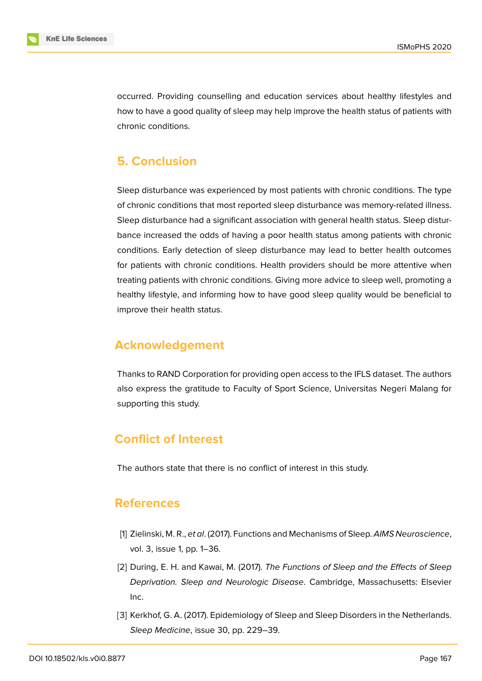

occurred. Providing counselling and education services about healthy lifestyles and how to have a good quality of sleep may help improve the health status of patients with chronic conditions.

## **5. Conclusion**

Sleep disturbance was experienced by most patients with chronic conditions. The type of chronic conditions that most reported sleep disturbance was memory-related illness. Sleep disturbance had a significant association with general health status. Sleep disturbance increased the odds of having a poor health status among patients with chronic conditions. Early detection of sleep disturbance may lead to better health outcomes for patients with chronic conditions. Health providers should be more attentive when treating patients with chronic conditions. Giving more advice to sleep well, promoting a healthy lifestyle, and informing how to have good sleep quality would be beneficial to improve their health status.

### **Acknowledgement**

Thanks to RAND Corporation for providing open access to the IFLS dataset. The authors also express the gratitude to Faculty of Sport Science, Universitas Negeri Malang for supporting this study.

# **Conflict of Interest**

The authors state that there is no conflict of interest in this study.

### **References**

- <span id="page-8-0"></span>[1] Zielinski, M. R., *et al*. (2017). Functions and Mechanisms of Sleep. *AIMS Neuroscience*, vol. 3, issue 1, pp. 1–36.
- <span id="page-8-1"></span>[2] During, E. H. and Kawai, M. (2017). *The Functions of Sleep and the Effects of Sleep Deprivation. Sleep and Neurologic Disease*. Cambridge, Massachusetts: Elsevier Inc.
- [3] Kerkhof, G. A. (2017). Epidemiology of Sleep and Sleep Disorders in the Netherlands. *Sleep Medicine*, issue 30, pp. 229–39.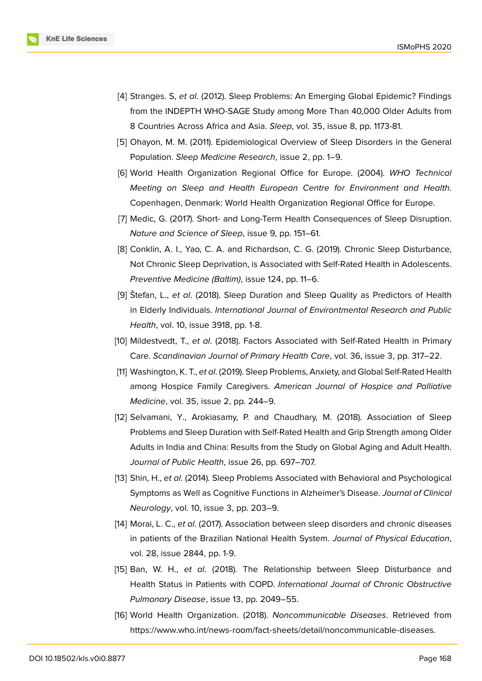- [4] Stranges. S, *et al*. (2012). Sleep Problems: An Emerging Global Epidemic? Findings from the INDEPTH WHO-SAGE Study among More Than 40,000 Older Adults from 8 Countries Across Africa and Asia. *Sleep*, vol. 35, issue 8, pp. 1173-81.
- <span id="page-9-3"></span>[5] Ohayon, M. M. (2011). Epidemiological Overview of Sleep Disorders in the General Population. *Sleep Medicine Research*, issue 2, pp. 1–9.
- [6] World Health Organization Regional Office for Europe. (2004). *WHO Technical Meeting on Sleep and Health European Centre for Environment and Health*. Copenhagen, Denmark: World Health Organization Regional Office for Europe.
- <span id="page-9-0"></span>[7] Medic, G. (2017). Short- and Long-Term Health Consequences of Sleep Disruption. *Nature and Science of Sleep*, issue 9, pp. 151–61.
- <span id="page-9-1"></span>[8] Conklin, A. I., Yao, C. A. and Richardson, C. G. (2019). Chronic Sleep Disturbance, Not Chronic Sleep Deprivation, is Associated with Self-Rated Health in Adolescents. *Preventive Medicine (Baltim)*, issue 124, pp. 11–6.
- [9] Štefan, L., *et al*. (2018). Sleep Duration and Sleep Quality as Predictors of Health in Elderly Individuals. *International Journal of Environtmental Research and Public Health*, vol. 10, issue 3918, pp. 1-8.
- [10] Mildestvedt, T., *et al*. (2018). Factors Associated with Self-Rated Health in Primary Care. *Scandinavian Journal of Primary Health Care*, vol. 36, issue 3, pp. 317–22.
- [11] Washington, K. T., *et al*. (2019). Sleep Problems, Anxiety, and Global Self-Rated Health among Hospice Family Caregivers. *American Journal of Hospice and Palliative Medicine*, vol. 35, issue 2, pp. 244–9.
- [12] Selvamani, Y., Arokiasamy, P. and Chaudhary, M. (2018). Association of Sleep Problems and Sleep Duration with Self-Rated Health and Grip Strength among Older Adults in India and China: Results from the Study on Global Aging and Adult Health. *Journal of Public Health*, issue 26, pp. 697–707.
- <span id="page-9-6"></span>[13] Shin, H., *et al*. (2014). Sleep Problems Associated with Behavioral and Psychological Symptoms as Well as Cognitive Functions in Alzheimer's Disease. *Journal of Clinical Neurology*, vol. 10, issue 3, pp. 203–9.
- <span id="page-9-4"></span>[14] Morai, L. C., *et al*. (2017). Association between sleep disorders and chronic diseases in patients of the Brazilian National Health System. *Journal of Physical Education*, vol. 28, issue 2844, pp. 1-9.
- [15] Ban, W. H., *et al*. (2018). The Relationship between Sleep Disturbance and Health Status in Patients with COPD. *International Journal of Chronic Obstructive Pulmonary Disease*, issue 13, pp. 2049–55.
- <span id="page-9-5"></span><span id="page-9-2"></span>[16] World Health Organization. (2018). *Noncommunicable Diseases*. Retrieved from https://www.who.int/news-room/fact-sheets/detail/noncommunicable-diseases.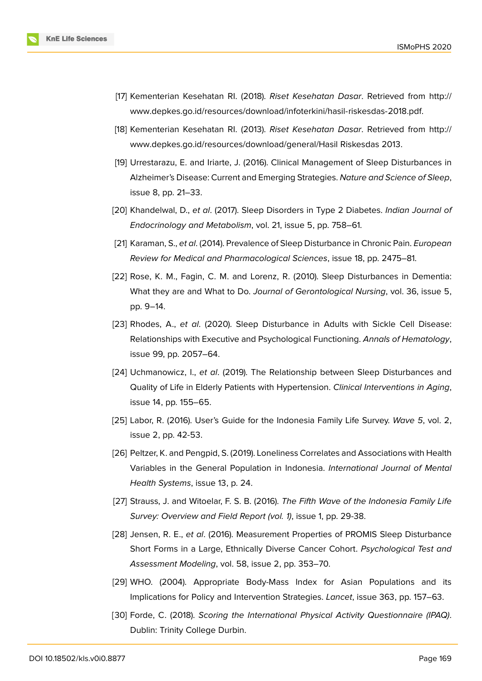- [17] Kementerian Kesehatan RI. (2018). *Riset Kesehatan Dasar*. Retrieved from http:// www.depkes.go.id/resources/download/infoterkini/hasil-riskesdas-2018.pdf.
- <span id="page-10-0"></span>[18] Kementerian Kesehatan RI. (2013). *Riset Kesehatan Dasar*. Retrieved from [http://](http://www.depkes.go.id/resources/download/infoterkini/hasil-riskesdas-2018.pdf.) [www.depkes.go.id/resources/download/general/Hasil](http://www.depkes.go.id/resources/download/infoterkini/hasil-riskesdas-2018.pdf.) Riskesdas 2013.
- <span id="page-10-1"></span>[19] Urrestarazu, E. and Iriarte, J. (2016). Clinical Management of Sleep Disturban[ces in](http://www.depkes.go.id/resources/download/general/Hasil) [Alzheimer's Disease: Current and Emerging Strategies.](http://www.depkes.go.id/resources/download/general/Hasil) *Nature and Science of Sleep*, issue 8, pp. 21–33.
- <span id="page-10-9"></span>[20] Khandelwal, D., *et al*. (2017). Sleep Disorders in Type 2 Diabetes. *Indian Journal of Endocrinology and Metabolism*, vol. 21, issue 5, pp. 758–61.
- [21] Karaman, S., *et al*. (2014). Prevalence of Sleep Disturbance in Chronic Pain. *European Review for Medical and Pharmacological Sciences*, issue 18, pp. 2475–81.
- <span id="page-10-7"></span>[22] Rose, K. M., Fagin, C. M. and Lorenz, R. (2010). Sleep Disturbances in Dementia: What they are and What to Do. *Journal of Gerontological Nursing*, vol. 36, issue 5, pp. 9–14.
- <span id="page-10-8"></span>[23] Rhodes, A., *et al*. (2020). Sleep Disturbance in Adults with Sickle Cell Disease: Relationships with Executive and Psychological Functioning. *Annals of Hematology*, issue 99, pp. 2057–64.
- [24] Uchmanowicz, I., *et al*. (2019). The Relationship between Sleep Disturbances and Quality of Life in Elderly Patients with Hypertension. *Clinical Interventions in Aging*, issue 14, pp. 155–65.
- [25] Labor, R. (2016). User's Guide for the Indonesia Family Life Survey. *Wave 5*, vol. 2, issue 2, pp. 42-53.
- <span id="page-10-2"></span>[26] Peltzer, K. and Pengpid, S. (2019). Loneliness Correlates and Associations with Health Variables in the General Population in Indonesia. *International Journal of Mental Health Systems*, issue 13, p. 24.
- <span id="page-10-3"></span>[27] Strauss, J. and Witoelar, F. S. B. (2016). *The Fifth Wave of the Indonesia Family Life Survey: Overview and Field Report (vol. 1)*, issue 1, pp. 29-38.
- <span id="page-10-4"></span>[28] Jensen, R. E., *et al*. (2016). Measurement Properties of PROMIS Sleep Disturbance Short Forms in a Large, Ethnically Diverse Cancer Cohort. *Psychological Test and Assessment Modeling*, vol. 58, issue 2, pp. 353–70.
- <span id="page-10-5"></span>[29] WHO. (2004). Appropriate Body-Mass Index for Asian Populations and its Implications for Policy and Intervention Strategies. *Lancet*, issue 363, pp. 157–63.
- <span id="page-10-6"></span>[30] Forde, C. (2018). *Scoring the International Physical Activity Questionnaire (IPAQ)*. Dublin: Trinity College Durbin.